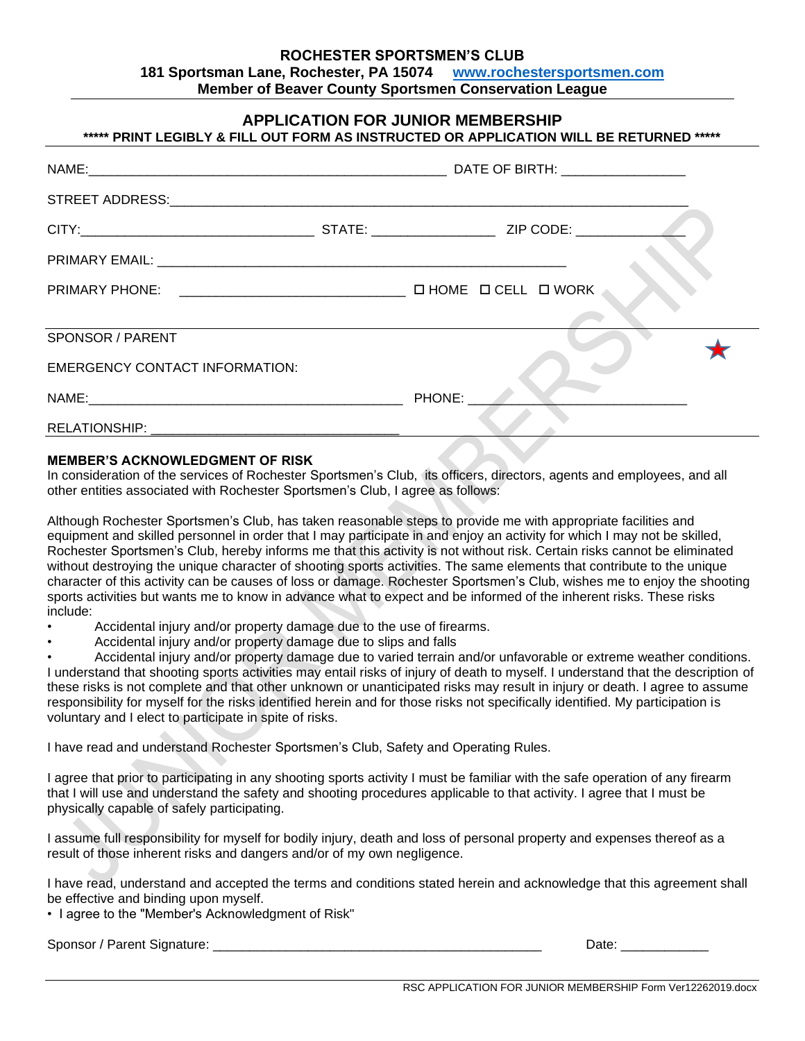## **ROCHESTER SPORTSMEN'S CLUB 181 Sportsman Lane, Rochester, PA 15074 [www.rochestersportsmen.com](http://www.rochestersportsmen.com/) Member of Beaver County Sportsmen Conservation League**

| <b>APPLICATION FOR JUNIOR MEMBERSHIP</b><br>***** PRINT LEGIBLY & FILL OUT FORM AS INSTRUCTED OR APPLICATION WILL BE RETURNED ***** |  |        |  |  |  |
|-------------------------------------------------------------------------------------------------------------------------------------|--|--------|--|--|--|
|                                                                                                                                     |  |        |  |  |  |
|                                                                                                                                     |  |        |  |  |  |
|                                                                                                                                     |  |        |  |  |  |
|                                                                                                                                     |  |        |  |  |  |
|                                                                                                                                     |  |        |  |  |  |
|                                                                                                                                     |  |        |  |  |  |
| SPONSOR / PARENT                                                                                                                    |  |        |  |  |  |
| <b>EMERGENCY CONTACT INFORMATION:</b>                                                                                               |  |        |  |  |  |
|                                                                                                                                     |  | PHONE: |  |  |  |
|                                                                                                                                     |  |        |  |  |  |

## **MEMBER'S ACKNOWLEDGMENT OF RISK**

In consideration of the services of Rochester Sportsmen's Club, its officers, directors, agents and employees, and all other entities associated with Rochester Sportsmen's Club, I agree as follows:

Although Rochester Sportsmen's Club, has taken reasonable steps to provide me with appropriate facilities and equipment and skilled personnel in order that I may participate in and enjoy an activity for which I may not be skilled, Rochester Sportsmen's Club, hereby informs me that this activity is not without risk. Certain risks cannot be eliminated without destroying the unique character of shooting sports activities. The same elements that contribute to the unique character of this activity can be causes of loss or damage. Rochester Sportsmen's Club, wishes me to enjoy the shooting sports activities but wants me to know in advance what to expect and be informed of the inherent risks. These risks include:

- Accidental injury and/or property damage due to the use of firearms.
- Accidental injury and/or property damage due to slips and falls

• Accidental injury and/or property damage due to varied terrain and/or unfavorable or extreme weather conditions. I understand that shooting sports activities may entail risks of injury of death to myself. I understand that the description of these risks is not complete and that other unknown or unanticipated risks may result in injury or death. I agree to assume responsibility for myself for the risks identified herein and for those risks not specifically identified. My participation is voluntary and I elect to participate in spite of risks.

I have read and understand Rochester Sportsmen's Club, Safety and Operating Rules.

I agree that prior to participating in any shooting sports activity I must be familiar with the safe operation of any firearm that I will use and understand the safety and shooting procedures applicable to that activity. I agree that I must be physically capable of safely participating.

I assume full responsibility for myself for bodily injury, death and loss of personal property and expenses thereof as a result of those inherent risks and dangers and/or of my own negligence.

I have read, understand and accepted the terms and conditions stated herein and acknowledge that this agreement shall be effective and binding upon myself.

• I agree to the "Member's Acknowledgment of Risk"

| Sponsor<br>Parent<br>signature. |  |  |
|---------------------------------|--|--|
|---------------------------------|--|--|